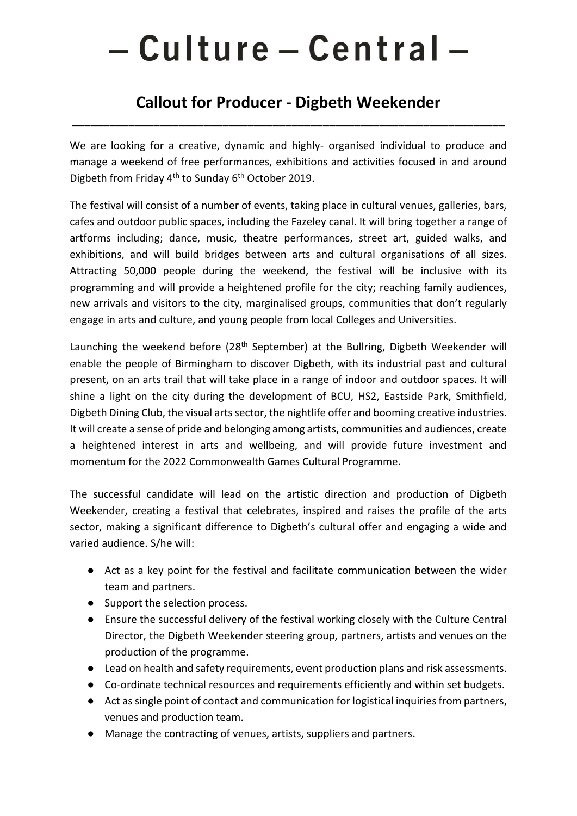# - Culture - Central -

# **Callout for Producer - Digbeth Weekender**

**\_\_\_\_\_\_\_\_\_\_\_\_\_\_\_\_\_\_\_\_\_\_\_\_\_\_\_\_\_\_\_\_\_\_\_\_\_\_\_\_\_\_\_\_\_\_\_\_\_\_\_\_\_\_\_\_\_\_\_\_\_\_\_\_\_\_\_\_\_**

We are looking for a creative, dynamic and highly- organised individual to produce and manage a weekend of free performances, exhibitions and activities focused in and around Digbeth from Friday 4<sup>th</sup> to Sunday 6<sup>th</sup> October 2019.

The festival will consist of a number of events, taking place in cultural venues, galleries, bars, cafes and outdoor public spaces, including the Fazeley canal. It will bring together a range of artforms including; dance, music, theatre performances, street art, guided walks, and exhibitions, and will build bridges between arts and cultural organisations of all sizes. Attracting 50,000 people during the weekend, the festival will be inclusive with its programming and will provide a heightened profile for the city; reaching family audiences, new arrivals and visitors to the city, marginalised groups, communities that don't regularly engage in arts and culture, and young people from local Colleges and Universities.

Launching the weekend before (28<sup>th</sup> September) at the Bullring, Digbeth Weekender will enable the people of Birmingham to discover Digbeth, with its industrial past and cultural present, on an arts trail that will take place in a range of indoor and outdoor spaces. It will shine a light on the city during the development of BCU, HS2, Eastside Park, Smithfield, Digbeth Dining Club, the visual arts sector, the nightlife offer and booming creative industries. It will create a sense of pride and belonging among artists, communities and audiences, create a heightened interest in arts and wellbeing, and will provide future investment and momentum for the 2022 Commonwealth Games Cultural Programme.

The successful candidate will lead on the artistic direction and production of Digbeth Weekender, creating a festival that celebrates, inspired and raises the profile of the arts sector, making a significant difference to Digbeth's cultural offer and engaging a wide and varied audience. S/he will:

- Act as a key point for the festival and facilitate communication between the wider team and partners.
- Support the selection process.
- Ensure the successful delivery of the festival working closely with the Culture Central Director, the Digbeth Weekender steering group, partners, artists and venues on the production of the programme.
- Lead on health and safety requirements, event production plans and risk assessments.
- Co-ordinate technical resources and requirements efficiently and within set budgets.
- Act as single point of contact and communication for logistical inquiries from partners, venues and production team.
- Manage the contracting of venues, artists, suppliers and partners.